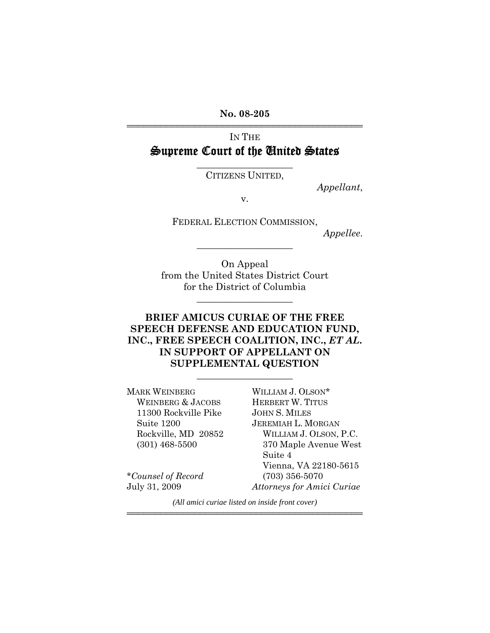**No. 08-205** 444444444444444444444444444444444444444444

# IN THE Supreme Court of the United States

 $\overline{\phantom{a}}$  , where  $\overline{\phantom{a}}$  , where  $\overline{\phantom{a}}$ CITIZENS UNITED,

*Appellant*,

v.

FEDERAL ELECTION COMMISSION,

\_\_\_\_\_\_\_\_\_\_\_\_\_\_\_\_\_\_\_\_

*Appellee*.

On Appeal from the United States District Court for the District of Columbia

\_\_\_\_\_\_\_\_\_\_\_\_\_\_\_\_\_\_\_\_

## **BRIEF AMICUS CURIAE OF THE FREE SPEECH DEFENSE AND EDUCATION FUND, INC., FREE SPEECH COALITION, INC.,** *ET AL***. IN SUPPORT OF APPELLANT ON SUPPLEMENTAL QUESTION**

\_\_\_\_\_\_\_\_\_\_\_\_\_\_\_\_\_\_\_\_

MARK WEINBERG WILLIAM J. OLSON\* WEINBERG & JACOBS HERBERT W. TITUS 11300 Rockville Pike JOHN S. MILES Suite 1200 JEREMIAH L. MORGAN

Rockville, MD 20852 WILLIAM J. OLSON, P.C. (301) 468-5500 370 Maple Avenue West Suite 4 Vienna, VA 22180-5615 \**Counsel of Record* (703) 356-5070 July 31, 2009 *Attorneys for Amici Curiae*

*(All amici curiae listed on inside front cover)* 444444444444444444444444444444444444444444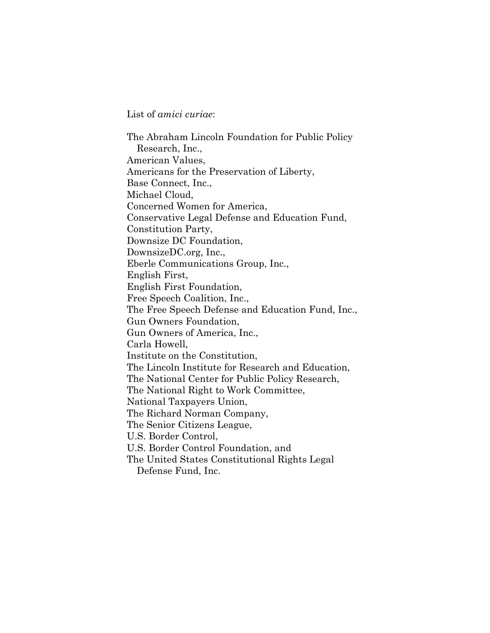List of *amici curiae*:

The Abraham Lincoln Foundation for Public Policy Research, Inc., American Values, Americans for the Preservation of Liberty, Base Connect, Inc., Michael Cloud, Concerned Women for America, Conservative Legal Defense and Education Fund, Constitution Party, Downsize DC Foundation, DownsizeDC.org, Inc., Eberle Communications Group, Inc., English First, English First Foundation, Free Speech Coalition, Inc., The Free Speech Defense and Education Fund, Inc., Gun Owners Foundation, Gun Owners of America, Inc., Carla Howell, Institute on the Constitution, The Lincoln Institute for Research and Education, The National Center for Public Policy Research, The National Right to Work Committee, National Taxpayers Union, The Richard Norman Company, The Senior Citizens League, U.S. Border Control, U.S. Border Control Foundation, and The United States Constitutional Rights Legal

Defense Fund, Inc.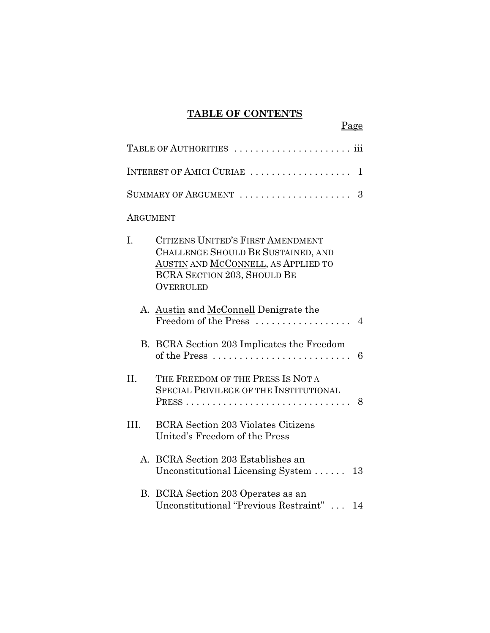# **TABLE OF CONTENTS**

Page

| INTEREST OF AMICI CURIAE<br>1 |                                                                                                                                                                          |  |
|-------------------------------|--------------------------------------------------------------------------------------------------------------------------------------------------------------------------|--|
|                               |                                                                                                                                                                          |  |
| <b>ARGUMENT</b>               |                                                                                                                                                                          |  |
| L.                            | CITIZENS UNITED'S FIRST AMENDMENT<br>CHALLENGE SHOULD BE SUSTAINED, AND<br>AUSTIN AND MCCONNELL, AS APPLIED TO<br><b>BCRA SECTION 203, SHOULD BE</b><br><b>OVERRULED</b> |  |
|                               | A. Austin and McConnell Denigrate the<br>Freedom of the Press<br>$\overline{4}$                                                                                          |  |
|                               | B. BCRA Section 203 Implicates the Freedom<br>of the Press<br>6                                                                                                          |  |
| II.                           | THE FREEDOM OF THE PRESS IS NOT A<br><b>SPECIAL PRIVILEGE OF THE INSTITUTIONAL</b><br>$PRESS \ldots \ldots \ldots \ldots \ldots \ldots \ldots \ldots \ldots \ldots 8$    |  |
| III.                          | <b>BCRA</b> Section 203 Violates Citizens<br>United's Freedom of the Press                                                                                               |  |
|                               | A. BCRA Section 203 Establishes an<br>Unconstitutional Licensing System $\dots$ .<br>13                                                                                  |  |
|                               | B. BCRA Section 203 Operates as an<br>Unconstitutional "Previous Restraint"<br>14                                                                                        |  |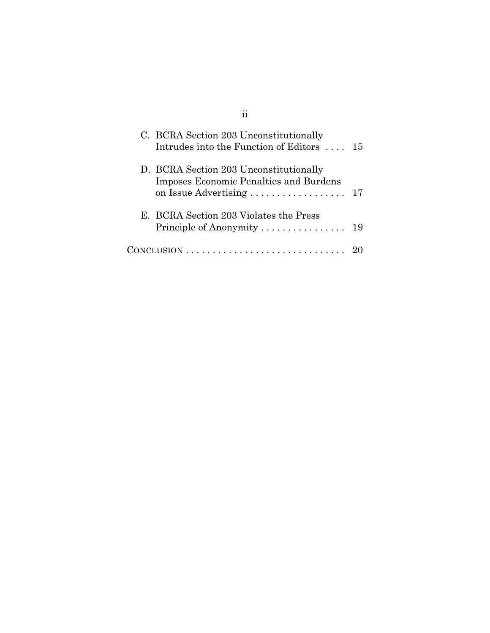| C. BCRA Section 203 Unconstitutionally<br>Intrudes into the Function of Editors $\dots$ 15 |  |
|--------------------------------------------------------------------------------------------|--|
| D. BCRA Section 203 Unconstitutionally<br>Imposes Economic Penalties and Burdens           |  |
| E. BCRA Section 203 Violates the Press                                                     |  |
| $CONCLUSION \ldots \ldots \ldots \ldots \ldots \ldots \ldots \ldots \ldots$                |  |

ii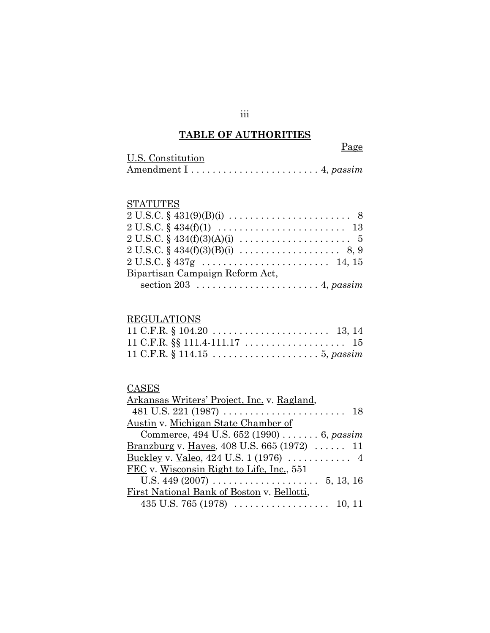# **TABLE OF AUTHORITIES**

|                   | Page |
|-------------------|------|
| U.S. Constitution |      |
|                   |      |

# **STATUTES**

| $2 U.S.C. \S 431(9)(B)(i) \ldots \ldots \ldots \ldots \ldots \ldots \ldots \quad 8$       |
|-------------------------------------------------------------------------------------------|
| $2 U.S.C. \S 434(f)(1) \ldots \ldots \ldots \ldots \ldots \ldots \ldots \ldots \ldots 13$ |
| $2 U.S.C. § 434(f)(3)(A)(i) \dots \dots \dots \dots \dots \dots \dots 5$                  |
| $2 U.S.C. \S 434(f)(3)(B)(i) \ldots \ldots \ldots \ldots \ldots \ldots \quad 8, 9$        |
| $2 U.S.C. \S 437g \ldots \ldots \ldots \ldots \ldots \ldots \ldots \quad 14, 15$          |
| Bipartisan Campaign Reform Act,                                                           |
|                                                                                           |

# **REGULATIONS**

#### **CASES**

| Arkansas Writers' Project, Inc. v. Ragland,                              |
|--------------------------------------------------------------------------|
|                                                                          |
| Austin v. Michigan State Chamber of                                      |
| Commerce, 494 U.S. 652 (1990)  6, passim                                 |
| Branzburg v. Hayes, 408 U.S. 665 (1972)  11                              |
| <u>Buckley</u> v. <u>Valeo</u> , 424 U.S. 1 (1976) $\dots \dots \dots$ 4 |
| FEC v. Wisconsin Right to Life, Inc., 551                                |
|                                                                          |
| First National Bank of Boston v. Bellotti,                               |
|                                                                          |
|                                                                          |

iii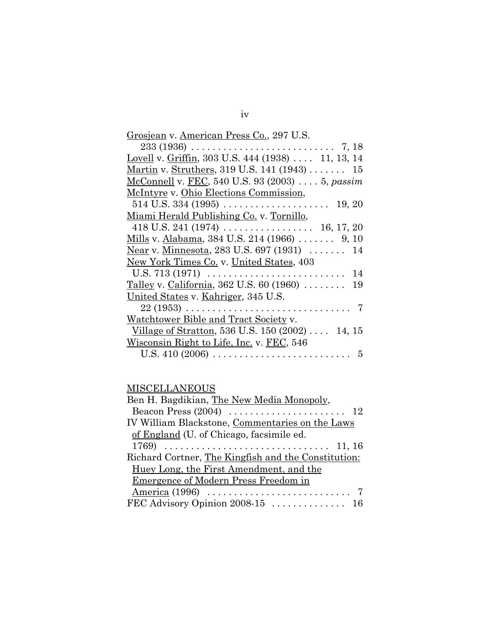| Grosjean v. American Press Co., 297 U.S.                       |
|----------------------------------------------------------------|
|                                                                |
| Lovell v. Griffin, 303 U.S. 444 (1938)  11, 13, 14             |
| Martin v. Struthers, 319 U.S. 141 (1943)  15                   |
| McConnell v. FEC, 540 U.S. 93 (2003)  5, passim                |
| McIntyre v. Ohio Elections Commission,                         |
|                                                                |
| Miami Herald Publishing Co. v. Tornillo,                       |
|                                                                |
| Mills v. Alabama, 384 U.S. 214 (1966)  9, 10                   |
| Near v. Minnesota, 283 U.S. 697 (1931)  14                     |
| New York Times Co. v. United States, 403                       |
| U.S. 713 (1971) $\ldots$<br>- 14                               |
| Talley v. California, 362 U.S. 60 (1960) $\ldots \ldots$<br>19 |
| United States v. Kahriger, 345 U.S.                            |
|                                                                |
| Watchtower Bible and Tract Society v.                          |
| Village of Stratton, 536 U.S. 150 (2002)  14, 15               |
| Wisconsin Right to Life, Inc. v. FEC, 546                      |
| 5                                                              |

# **MISCELLANEOUS**

| Ben H. Bagdikian, The New Media Monopoly,           |
|-----------------------------------------------------|
|                                                     |
| IV William Blackstone, Commentaries on the Laws     |
| of England (U. of Chicago, facsimile ed.            |
|                                                     |
| Richard Cortner, The Kingfish and the Constitution: |
| Huey Long, the First Amendment, and the             |
| Emergence of Modern Press Freedom in                |
|                                                     |
|                                                     |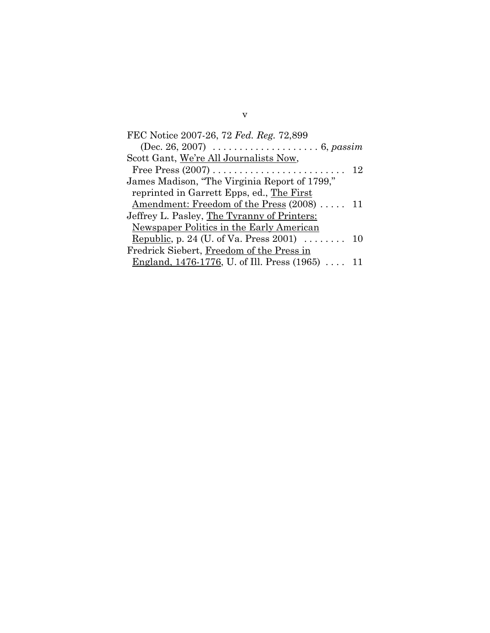| FEC Notice 2007-26, 72 Fed. Reg. 72,899                                |  |
|------------------------------------------------------------------------|--|
| (Dec. 26, 2007) $\ldots \ldots \ldots \ldots \ldots \ldots 6$ , passim |  |
| Scott Gant, We're All Journalists Now,                                 |  |
|                                                                        |  |
| James Madison, "The Virginia Report of 1799,"                          |  |
| reprinted in Garrett Epps, ed., The First                              |  |
| Amendment: Freedom of the Press (2008)  11                             |  |
| Jeffrey L. Pasley, The Tyranny of Printers:                            |  |
| Newspaper Politics in the Early American                               |  |
| Republic, p. 24 (U. of Va. Press 2001) $\ldots \ldots$ 10              |  |
| Fredrick Siebert, Freedom of the Press in                              |  |
| <u>England, 1476-1776</u> , U. of Ill. Press (1965)  11                |  |

v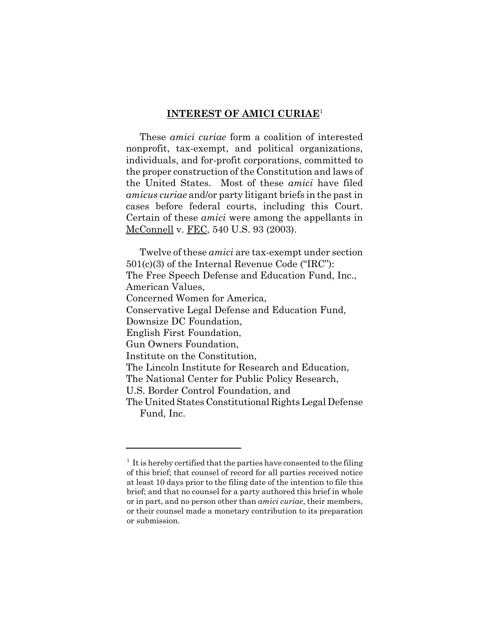#### **INTEREST OF AMICI CURIAE**<sup>1</sup>

These *amici curiae* form a coalition of interested nonprofit, tax-exempt, and political organizations, individuals, and for-profit corporations, committed to the proper construction of the Constitution and laws of the United States. Most of these *amici* have filed *amicus curiae* and/or party litigant briefs in the past in cases before federal courts, including this Court. Certain of these *amici* were among the appellants in McConnell v. FEC, 540 U.S. 93 (2003).

Twelve of these *amici* are tax-exempt under section 501(c)(3) of the Internal Revenue Code ("IRC"): The Free Speech Defense and Education Fund, Inc., American Values, Concerned Women for America, Conservative Legal Defense and Education Fund, Downsize DC Foundation, English First Foundation, Gun Owners Foundation, Institute on the Constitution, The Lincoln Institute for Research and Education, The National Center for Public Policy Research, U.S. Border Control Foundation, and The United States Constitutional Rights Legal Defense Fund, Inc.

 $<sup>1</sup>$  It is hereby certified that the parties have consented to the filing</sup> of this brief; that counsel of record for all parties received notice at least 10 days prior to the filing date of the intention to file this brief; and that no counsel for a party authored this brief in whole or in part, and no person other than *amici curiae*, their members, or their counsel made a monetary contribution to its preparation or submission.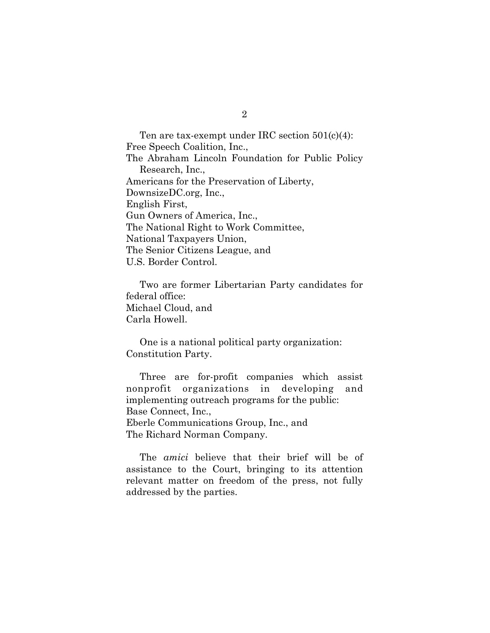Ten are tax-exempt under IRC section 501(c)(4): Free Speech Coalition, Inc., The Abraham Lincoln Foundation for Public Policy Research, Inc., Americans for the Preservation of Liberty, DownsizeDC.org, Inc., English First, Gun Owners of America, Inc., The National Right to Work Committee, National Taxpayers Union, The Senior Citizens League, and U.S. Border Control.

Two are former Libertarian Party candidates for federal office: Michael Cloud, and Carla Howell.

One is a national political party organization: Constitution Party.

Three are for-profit companies which assist nonprofit organizations in developing and implementing outreach programs for the public: Base Connect, Inc., Eberle Communications Group, Inc., and The Richard Norman Company.

The *amici* believe that their brief will be of assistance to the Court, bringing to its attention relevant matter on freedom of the press, not fully addressed by the parties.

2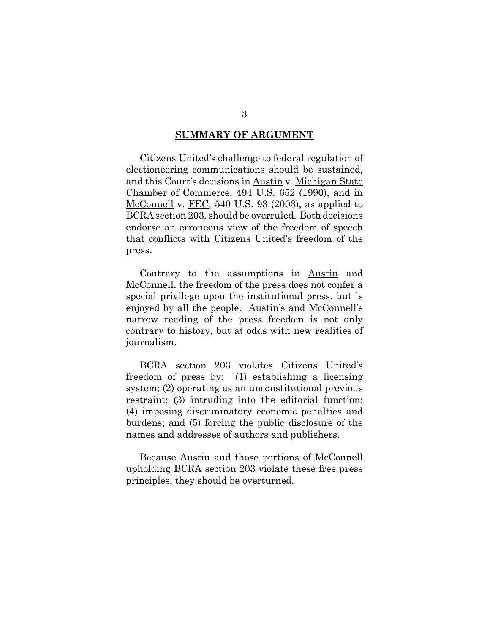#### **SUMMARY OF ARGUMENT**

Citizens United's challenge to federal regulation of electioneering communications should be sustained, and this Court's decisions in Austin v. Michigan State Chamber of Commerce, 494 U.S. 652 (1990), and in McConnell v. FEC, 540 U.S. 93 (2003), as applied to BCRA section 203, should be overruled. Both decisions endorse an erroneous view of the freedom of speech that conflicts with Citizens United's freedom of the press.

Contrary to the assumptions in Austin and McConnell, the freedom of the press does not confer a special privilege upon the institutional press, but is enjoyed by all the people. Austin's and McConnell's narrow reading of the press freedom is not only contrary to history, but at odds with new realities of journalism.

BCRA section 203 violates Citizens United's freedom of press by: (1) establishing a licensing system; (2) operating as an unconstitutional previous restraint; (3) intruding into the editorial function; (4) imposing discriminatory economic penalties and burdens; and (5) forcing the public disclosure of the names and addresses of authors and publishers.

Because Austin and those portions of McConnell upholding BCRA section 203 violate these free press principles, they should be overturned.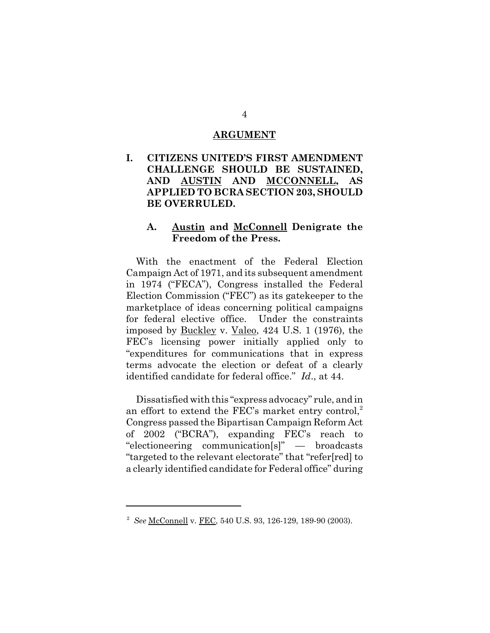#### **ARGUMENT**

**I. CITIZENS UNITED'S FIRST AMENDMENT CHALLENGE SHOULD BE SUSTAINED, AND AUSTIN AND MCCONNELL, AS APPLIED TO BCRA SECTION 203, SHOULD BE OVERRULED.**

#### **A. Austin and McConnell Denigrate the Freedom of the Press.**

With the enactment of the Federal Election Campaign Act of 1971, and its subsequent amendment in 1974 ("FECA"), Congress installed the Federal Election Commission ("FEC") as its gatekeeper to the marketplace of ideas concerning political campaigns for federal elective office. Under the constraints imposed by Buckley v. Valeo, 424 U.S. 1 (1976), the FEC's licensing power initially applied only to "expenditures for communications that in express terms advocate the election or defeat of a clearly identified candidate for federal office." *Id*., at 44.

Dissatisfied with this "express advocacy" rule, and in an effort to extend the FEC's market entry control, $2$ Congress passed the Bipartisan Campaign Reform Act of 2002 ("BCRA"), expanding FEC's reach to "electioneering communication[s]" — broadcasts "targeted to the relevant electorate" that "refer[red] to a clearly identified candidate for Federal office" during

<sup>2</sup> *See* McConnell v. FEC, 540 U.S. 93, 126-129, 189-90 (2003).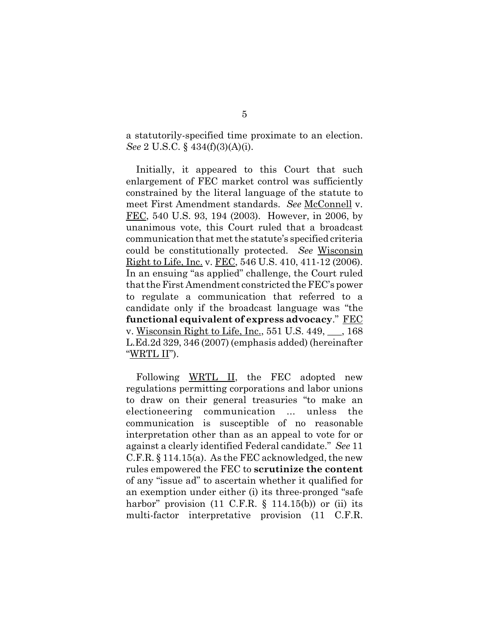a statutorily-specified time proximate to an election. *See* 2 U.S.C. § 434(f)(3)(A)(i).

Initially, it appeared to this Court that such enlargement of FEC market control was sufficiently constrained by the literal language of the statute to meet First Amendment standards. *See* McConnell v. FEC, 540 U.S. 93, 194 (2003). However, in 2006, by unanimous vote, this Court ruled that a broadcast communication that met the statute's specified criteria could be constitutionally protected. *See* Wisconsin Right to Life, Inc. v. FEC, 546 U.S. 410, 411-12 (2006). In an ensuing "as applied" challenge, the Court ruled that the First Amendment constricted the FEC's power to regulate a communication that referred to a candidate only if the broadcast language was "the **functional equivalent of express advocacy**." FEC v. Wisconsin Right to Life, Inc., 551 U.S. 449, \_\_\_, 168 L.Ed.2d 329, 346 (2007) (emphasis added) (hereinafter "WRTL II").

Following WRTL II, the FEC adopted new regulations permitting corporations and labor unions to draw on their general treasuries "to make an electioneering communication ... unless the communication is susceptible of no reasonable interpretation other than as an appeal to vote for or against a clearly identified Federal candidate." *See* 11 C.F.R. § 114.15(a). As the FEC acknowledged, the new rules empowered the FEC to **scrutinize the content** of any "issue ad" to ascertain whether it qualified for an exemption under either (i) its three-pronged "safe harbor" provision  $(11 \text{ C.F.R. } \S 114.15(b))$  or  $(ii)$  its multi-factor interpretative provision (11 C.F.R.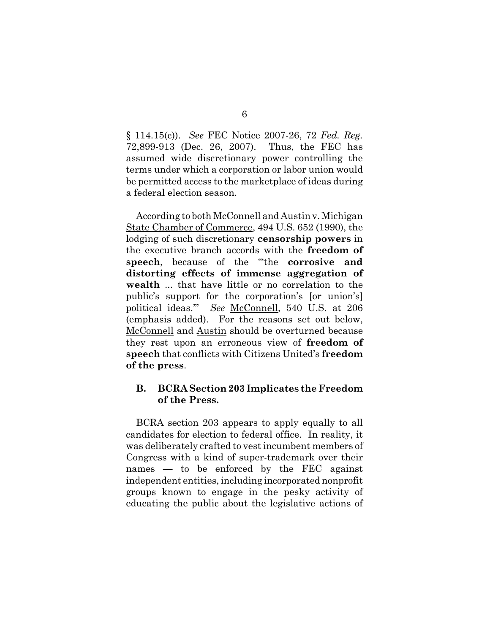§ 114.15(c)). *See* FEC Notice 2007-26, 72 *Fed. Reg.* 72,899-913 (Dec. 26, 2007). Thus, the FEC has assumed wide discretionary power controlling the terms under which a corporation or labor union would be permitted access to the marketplace of ideas during a federal election season.

According to both McConnell and Austin v. Michigan State Chamber of Commerce, 494 U.S. 652 (1990), the lodging of such discretionary **censorship powers** in the executive branch accords with the **freedom of speech**, because of the "'the **corrosive and distorting effects of immense aggregation of wealth** ... that have little or no correlation to the public's support for the corporation's [or union's] political ideas.'" *See* McConnell, 540 U.S. at 206 (emphasis added). For the reasons set out below, McConnell and Austin should be overturned because they rest upon an erroneous view of **freedom of speech** that conflicts with Citizens United's **freedom of the press**.

### **B. BCRA Section 203 Implicates the Freedom of the Press.**

BCRA section 203 appears to apply equally to all candidates for election to federal office. In reality, it was deliberately crafted to vest incumbent members of Congress with a kind of super-trademark over their names — to be enforced by the FEC against independent entities, including incorporated nonprofit groups known to engage in the pesky activity of educating the public about the legislative actions of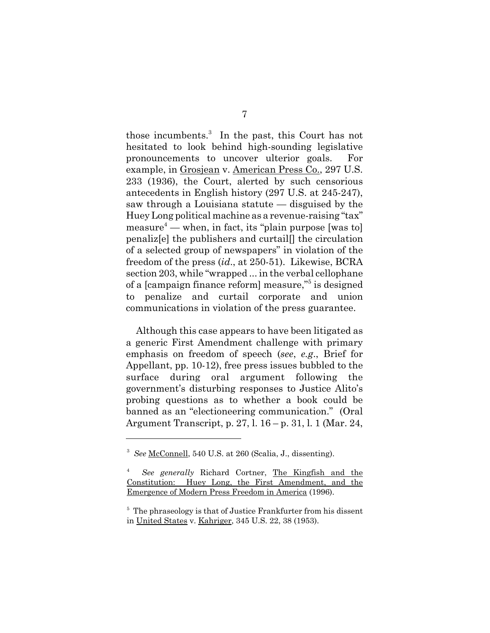those incumbents.<sup>3</sup> In the past, this Court has not hesitated to look behind high-sounding legislative pronouncements to uncover ulterior goals. For example, in Grosjean v. American Press Co., 297 U.S. 233 (1936), the Court, alerted by such censorious antecedents in English history (297 U.S. at 245-247), saw through a Louisiana statute — disguised by the Huey Long political machine as a revenue-raising "tax" measure4 — when, in fact, its "plain purpose [was to] penaliz[e] the publishers and curtail[] the circulation of a selected group of newspapers" in violation of the freedom of the press (*id*., at 250-51). Likewise, BCRA section 203, while "wrapped ... in the verbal cellophane of a [campaign finance reform] measure,"<sup>5</sup> is designed to penalize and curtail corporate and union communications in violation of the press guarantee.

Although this case appears to have been litigated as a generic First Amendment challenge with primary emphasis on freedom of speech (*see*, *e.g*., Brief for Appellant, pp. 10-12), free press issues bubbled to the surface during oral argument following the government's disturbing responses to Justice Alito's probing questions as to whether a book could be banned as an "electioneering communication." (Oral Argument Transcript, p. 27, l. 16 – p. 31, l. 1 (Mar. 24,

<sup>3</sup> *See* McConnell, 540 U.S. at 260 (Scalia, J., dissenting).

<sup>4</sup> *See generally* Richard Cortner, The Kingfish and the Constitution: Huey Long, the First Amendment, and the Emergence of Modern Press Freedom in America (1996).

<sup>&</sup>lt;sup>5</sup> The phraseology is that of Justice Frankfurter from his dissent in United States v. Kahriger, 345 U.S. 22, 38 (1953).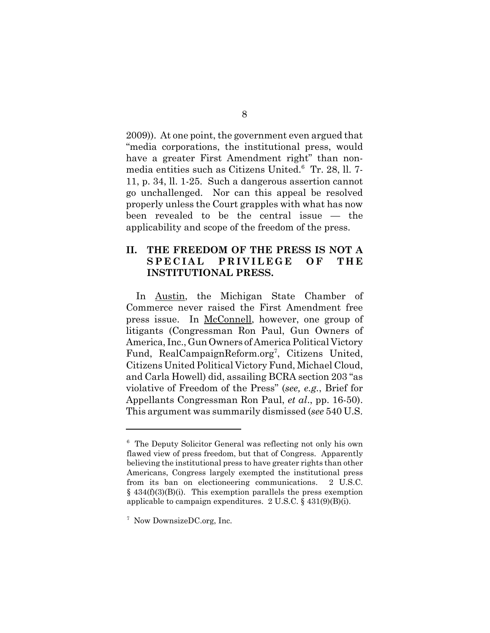2009)). At one point, the government even argued that "media corporations, the institutional press, would have a greater First Amendment right" than nonmedia entities such as Citizens United.<sup>6</sup> Tr. 28, ll. 7-11, p. 34, ll. 1-25. Such a dangerous assertion cannot go unchallenged. Nor can this appeal be resolved properly unless the Court grapples with what has now been revealed to be the central issue — the applicability and scope of the freedom of the press.

### **II. THE FREEDOM OF THE PRESS IS NOT A SPECIAL PRIVILEGE OF THE INSTITUTIONAL PRESS.**

In Austin, the Michigan State Chamber of Commerce never raised the First Amendment free press issue. In <u>McConnell</u>, however, one group of litigants (Congressman Ron Paul, Gun Owners of America, Inc., Gun Owners of America Political Victory Fund, RealCampaignReform.org<sup>7</sup>, Citizens United, Citizens United Political Victory Fund, Michael Cloud, and Carla Howell) did, assailing BCRA section 203 "as violative of Freedom of the Press" (*see, e.g.*, Brief for Appellants Congressman Ron Paul, *et al*., pp. 16-50). This argument was summarily dismissed (*see* 540 U.S.

<sup>&</sup>lt;sup>6</sup> The Deputy Solicitor General was reflecting not only his own flawed view of press freedom, but that of Congress. Apparently believing the institutional press to have greater rights than other Americans, Congress largely exempted the institutional press from its ban on electioneering communications. 2 U.S.C.  $§$  434(f)(3)(B)(i). This exemption parallels the press exemption applicable to campaign expenditures. 2 U.S.C. § 431(9)(B)(i).

<sup>7</sup> Now DownsizeDC.org, Inc.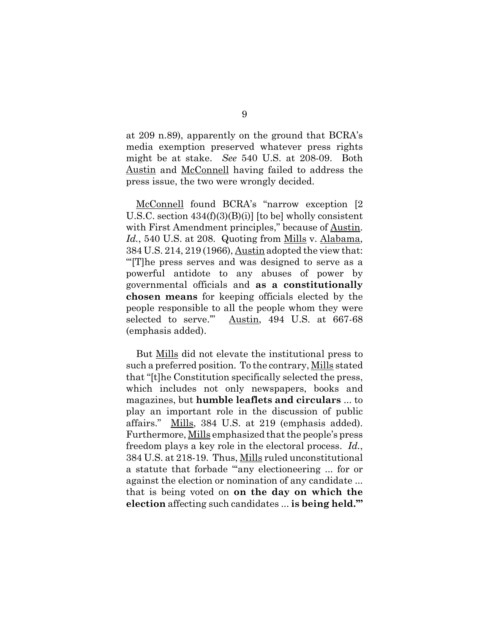at 209 n.89), apparently on the ground that BCRA's media exemption preserved whatever press rights might be at stake. *See* 540 U.S. at 208-09. Both Austin and McConnell having failed to address the press issue, the two were wrongly decided.

McConnell found BCRA's "narrow exception [2 U.S.C. section  $434(f)(3)(B)(i)$  [to be] wholly consistent with First Amendment principles," because of Austin. *Id.*, 540 U.S. at 208. Quoting from Mills v. Alabama, 384 U.S. 214, 219 (1966), Austin adopted the view that: "'[T]he press serves and was designed to serve as a powerful antidote to any abuses of power by governmental officials and **as a constitutionally chosen means** for keeping officials elected by the people responsible to all the people whom they were selected to serve.'" Austin, 494 U.S. at 667-68 (emphasis added).

But Mills did not elevate the institutional press to such a preferred position. To the contrary, Mills stated that "[t]he Constitution specifically selected the press, which includes not only newspapers, books and magazines, but **humble leaflets and circulars** ... to play an important role in the discussion of public affairs." Mills, 384 U.S. at 219 (emphasis added). Furthermore, Mills emphasized that the people's press freedom plays a key role in the electoral process. *Id.*, 384 U.S. at 218-19. Thus, Mills ruled unconstitutional a statute that forbade "any electioneering ... for or against the election or nomination of any candidate ... that is being voted on **on the day on which the election** affecting such candidates ... **is being held.'"**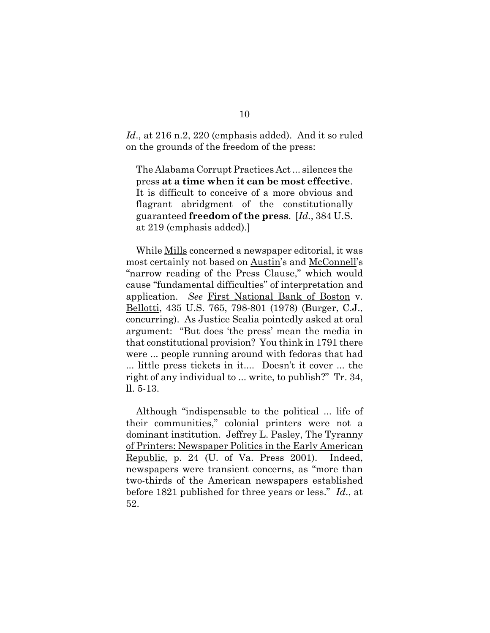*Id*., at 216 n.2, 220 (emphasis added). And it so ruled on the grounds of the freedom of the press:

The Alabama Corrupt Practices Act ... silences the press **at a time when it can be most effective**. It is difficult to conceive of a more obvious and flagrant abridgment of the constitutionally guaranteed **freedom of the press**. [*Id.*, 384 U.S. at 219 (emphasis added).]

While Mills concerned a newspaper editorial, it was most certainly not based on Austin's and McConnell's "narrow reading of the Press Clause," which would cause "fundamental difficulties" of interpretation and application. *See* First National Bank of Boston v. Bellotti, 435 U.S. 765, 798-801 (1978) (Burger, C.J., concurring). As Justice Scalia pointedly asked at oral argument: "But does 'the press' mean the media in that constitutional provision? You think in 1791 there were ... people running around with fedoras that had ... little press tickets in it.... Doesn't it cover ... the right of any individual to ... write, to publish?" Tr. 34, ll. 5-13.

Although "indispensable to the political ... life of their communities," colonial printers were not a dominant institution. Jeffrey L. Pasley, The Tyranny of Printers: Newspaper Politics in the Early American Republic, p. 24 (U. of Va. Press 2001). Indeed, newspapers were transient concerns, as "more than two-thirds of the American newspapers established before 1821 published for three years or less." *Id*., at 52.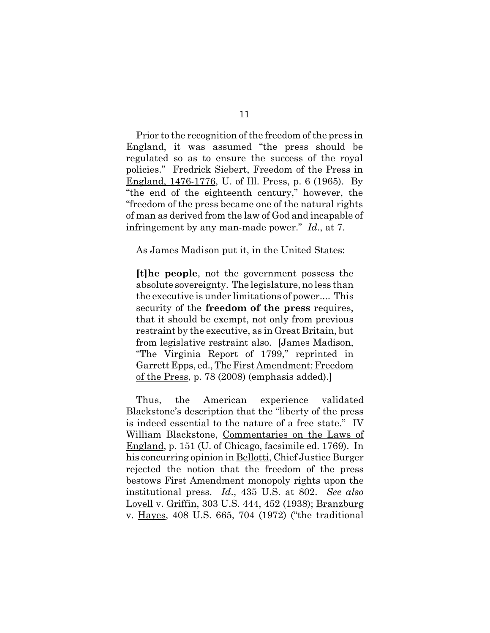Prior to the recognition of the freedom of the press in England, it was assumed "the press should be regulated so as to ensure the success of the royal policies." Fredrick Siebert, Freedom of the Press in England, 1476-1776, U. of Ill. Press, p. 6 (1965). By "the end of the eighteenth century," however, the "freedom of the press became one of the natural rights of man as derived from the law of God and incapable of infringement by any man-made power." *Id*., at 7.

As James Madison put it, in the United States:

**[t]he people**, not the government possess the absolute sovereignty. The legislature, no less than the executive is under limitations of power.... This security of the **freedom of the press** requires, that it should be exempt, not only from previous restraint by the executive, as in Great Britain, but from legislative restraint also. [James Madison, "The Virginia Report of 1799," reprinted in Garrett Epps, ed., The First Amendment: Freedom of the Press, p. 78 (2008) (emphasis added).]

Thus, the American experience validated Blackstone's description that the "liberty of the press is indeed essential to the nature of a free state." IV William Blackstone, Commentaries on the Laws of England, p. 151 (U. of Chicago, facsimile ed. 1769). In his concurring opinion in Bellotti, Chief Justice Burger rejected the notion that the freedom of the press bestows First Amendment monopoly rights upon the institutional press. *Id*., 435 U.S. at 802. *See also* Lovell v. Griffin, 303 U.S. 444, 452 (1938); Branzburg v. Hayes, 408 U.S. 665, 704 (1972) ("the traditional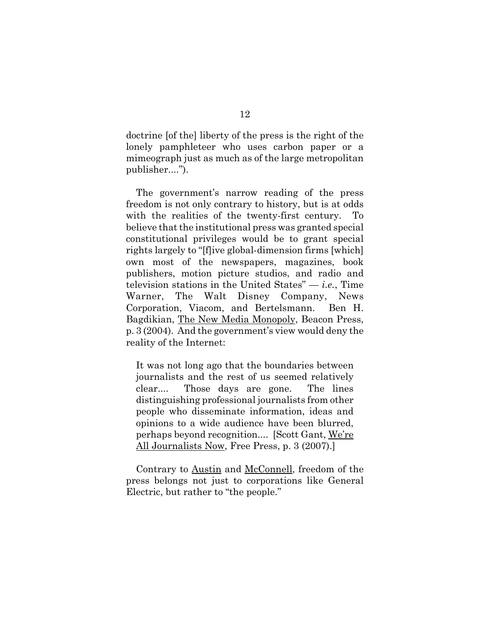doctrine [of the] liberty of the press is the right of the lonely pamphleteer who uses carbon paper or a mimeograph just as much as of the large metropolitan publisher....").

The government's narrow reading of the press freedom is not only contrary to history, but is at odds with the realities of the twenty-first century. To believe that the institutional press was granted special constitutional privileges would be to grant special rights largely to "[f]ive global-dimension firms [which] own most of the newspapers, magazines, book publishers, motion picture studios, and radio and television stations in the United States" — *i.e.*, Time Warner, The Walt Disney Company, News Corporation, Viacom, and Bertelsmann. Ben H. Bagdikian, The New Media Monopoly, Beacon Press, p. 3 (2004). And the government's view would deny the reality of the Internet:

It was not long ago that the boundaries between journalists and the rest of us seemed relatively clear.... Those days are gone. The lines distinguishing professional journalists from other people who disseminate information, ideas and opinions to a wide audience have been blurred, perhaps beyond recognition.... [Scott Gant, We're All Journalists Now, Free Press, p. 3 (2007).]

Contrary to Austin and McConnell, freedom of the press belongs not just to corporations like General Electric, but rather to "the people."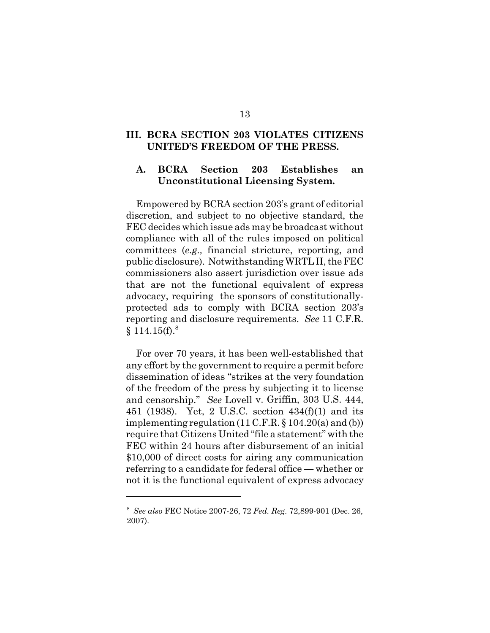#### **III. BCRA SECTION 203 VIOLATES CITIZENS UNITED'S FREEDOM OF THE PRESS.**

#### **A. BCRA Section 203 Establishes an Unconstitutional Licensing System.**

Empowered by BCRA section 203's grant of editorial discretion, and subject to no objective standard, the FEC decides which issue ads may be broadcast without compliance with all of the rules imposed on political committees (*e.g.,* financial stricture, reporting, and public disclosure). Notwithstanding WRTL II, the FEC commissioners also assert jurisdiction over issue ads that are not the functional equivalent of express advocacy, requiring the sponsors of constitutionallyprotected ads to comply with BCRA section 203's reporting and disclosure requirements. *See* 11 C.F.R.  $§ 114.15(f).$ <sup>8</sup>

For over 70 years, it has been well-established that any effort by the government to require a permit before dissemination of ideas "strikes at the very foundation of the freedom of the press by subjecting it to license and censorship." *See* Lovell v. Griffin, 303 U.S. 444, 451 (1938). Yet, 2 U.S.C. section 434(f)(1) and its implementing regulation (11 C.F.R. § 104.20(a) and (b)) require that Citizens United "file a statement" with the FEC within 24 hours after disbursement of an initial \$10,000 of direct costs for airing any communication referring to a candidate for federal office — whether or not it is the functional equivalent of express advocacy

<sup>8</sup> *See also* FEC Notice 2007-26, 72 *Fed. Reg.* 72,899-901 (Dec. 26, 2007).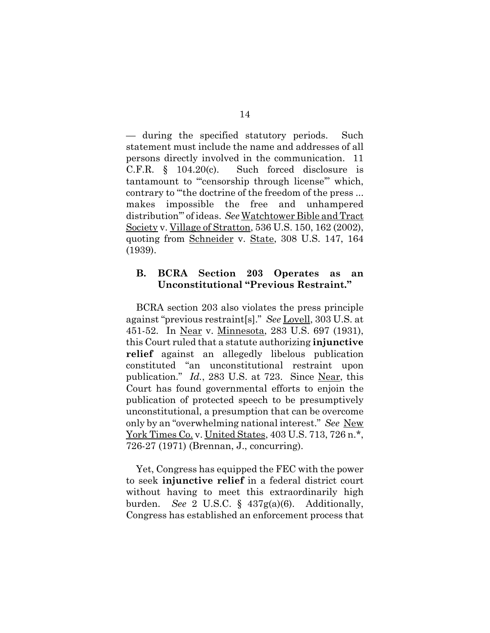— during the specified statutory periods. Such statement must include the name and addresses of all persons directly involved in the communication. 11 C.F.R. § 104.20(c). Such forced disclosure is tantamount to "'censorship through license'" which, contrary to "'the doctrine of the freedom of the press ... makes impossible the free and unhampered distribution'" of ideas. *See* Watchtower Bible and Tract Society v. Village of Stratton, 536 U.S. 150, 162 (2002), quoting from Schneider v. State, 308 U.S. 147, 164 (1939).

#### **B. BCRA Section 203 Operates as an Unconstitutional "Previous Restraint."**

BCRA section 203 also violates the press principle against "previous restraint[s]." *See* Lovell, 303 U.S. at 451-52. In Near v. Minnesota, 283 U.S. 697 (1931), this Court ruled that a statute authorizing **injunctive relief** against an allegedly libelous publication constituted "an unconstitutional restraint upon publication." *Id.*, 283 U.S. at 723. Since Near, this Court has found governmental efforts to enjoin the publication of protected speech to be presumptively unconstitutional, a presumption that can be overcome only by an "overwhelming national interest." *See* New York Times Co. v. United States, 403 U.S. 713, 726 n.<sup>\*</sup>, 726-27 (1971) (Brennan, J., concurring).

Yet, Congress has equipped the FEC with the power to seek **injunctive relief** in a federal district court without having to meet this extraordinarily high burden. *See* 2 U.S.C. § 437g(a)(6). Additionally, Congress has established an enforcement process that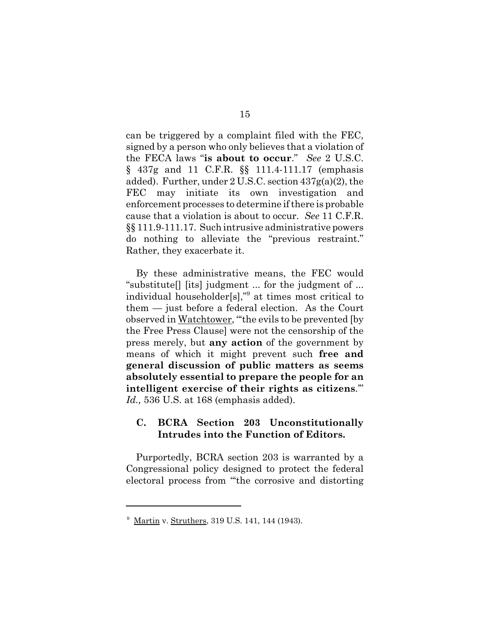can be triggered by a complaint filed with the FEC, signed by a person who only believes that a violation of the FECA laws "**is about to occur**." *See* 2 U.S.C. § 437g and 11 C.F.R. §§ 111.4-111.17 (emphasis added). Further, under 2 U.S.C. section 437g(a)(2), the FEC may initiate its own investigation and enforcement processes to determine if there is probable cause that a violation is about to occur. *See* 11 C.F.R. §§ 111.9-111.17. Such intrusive administrative powers do nothing to alleviate the "previous restraint." Rather, they exacerbate it.

By these administrative means, the FEC would "substitute[] [its] judgment ... for the judgment of ... individual householder[s],"9 at times most critical to them — just before a federal election. As the Court observed in Watchtower, "'the evils to be prevented [by the Free Press Clause] were not the censorship of the press merely, but **any action** of the government by means of which it might prevent such **free and general discussion of public matters as seems absolutely essential to prepare the people for an intelligent exercise of their rights as citizens**.'" *Id.,* 536 U.S. at 168 (emphasis added).

## **C. BCRA Section 203 Unconstitutionally Intrudes into the Function of Editors.**

Purportedly, BCRA section 203 is warranted by a Congressional policy designed to protect the federal electoral process from "'the corrosive and distorting

<sup>&</sup>lt;sup>9</sup> Martin v. Struthers, 319 U.S. 141, 144 (1943).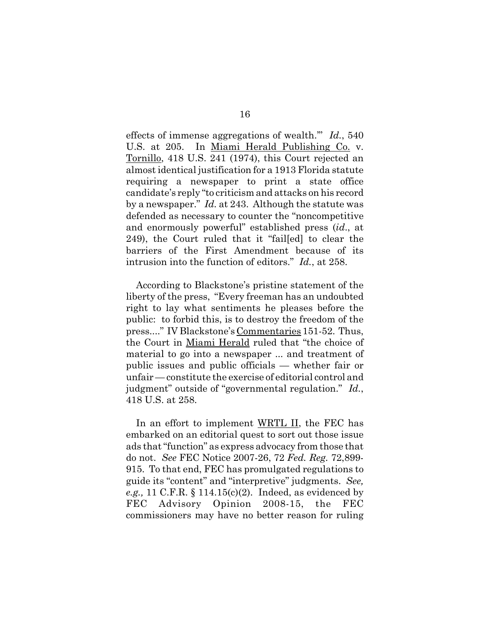effects of immense aggregations of wealth.'" *Id.*, 540 U.S. at 205. In Miami Herald Publishing Co. v. Tornillo, 418 U.S. 241 (1974), this Court rejected an almost identical justification for a 1913 Florida statute requiring a newspaper to print a state office candidate's reply "to criticism and attacks on his record by a newspaper." *Id.* at 243. Although the statute was defended as necessary to counter the "noncompetitive and enormously powerful" established press (*id*., at 249), the Court ruled that it "fail[ed] to clear the barriers of the First Amendment because of its intrusion into the function of editors." *Id.*, at 258.

According to Blackstone's pristine statement of the liberty of the press, "Every freeman has an undoubted right to lay what sentiments he pleases before the public: to forbid this, is to destroy the freedom of the press...." IV Blackstone's Commentaries 151-52. Thus, the Court in Miami Herald ruled that "the choice of material to go into a newspaper ... and treatment of public issues and public officials — whether fair or unfair — constitute the exercise of editorial control and judgment" outside of "governmental regulation." *Id.*, 418 U.S. at 258.

In an effort to implement WRTL II, the FEC has embarked on an editorial quest to sort out those issue ads that "function" as express advocacy from those that do not. *See* FEC Notice 2007-26, 72 *Fed. Reg.* 72,899- 915. To that end, FEC has promulgated regulations to guide its "content" and "interpretive" judgments. *See, e.g.,* 11 C.F.R. § 114.15(c)(2). Indeed, as evidenced by FEC Advisory Opinion 2008-15, the FEC commissioners may have no better reason for ruling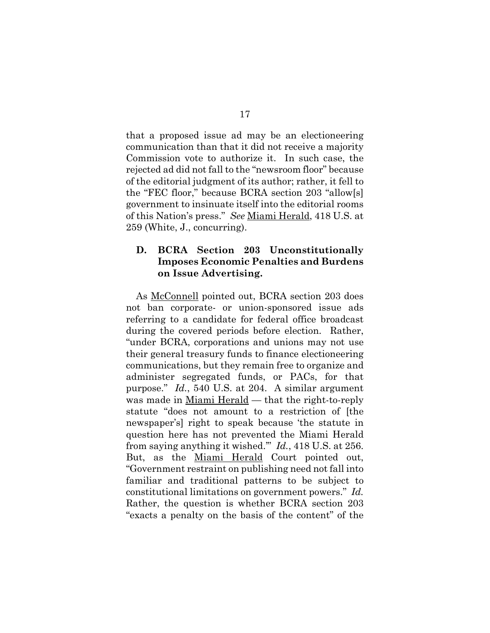that a proposed issue ad may be an electioneering communication than that it did not receive a majority Commission vote to authorize it. In such case, the rejected ad did not fall to the "newsroom floor" because of the editorial judgment of its author; rather, it fell to the "FEC floor," because BCRA section 203 "allow[s] government to insinuate itself into the editorial rooms of this Nation's press." *See* Miami Herald, 418 U.S. at 259 (White, J., concurring).

### **D. BCRA Section 203 Unconstitutionally Imposes Economic Penalties and Burdens on Issue Advertising.**

As McConnell pointed out, BCRA section 203 does not ban corporate- or union-sponsored issue ads referring to a candidate for federal office broadcast during the covered periods before election. Rather, "under BCRA, corporations and unions may not use their general treasury funds to finance electioneering communications, but they remain free to organize and administer segregated funds, or PACs, for that purpose." *Id.*, 540 U.S. at 204. A similar argument was made in Miami Herald — that the right-to-reply statute "does not amount to a restriction of [the newspaper's] right to speak because 'the statute in question here has not prevented the Miami Herald from saying anything it wished.'" *Id.*, 418 U.S. at 256. But, as the Miami Herald Court pointed out, "Government restraint on publishing need not fall into familiar and traditional patterns to be subject to constitutional limitations on government powers." *Id.* Rather, the question is whether BCRA section 203 "exacts a penalty on the basis of the content" of the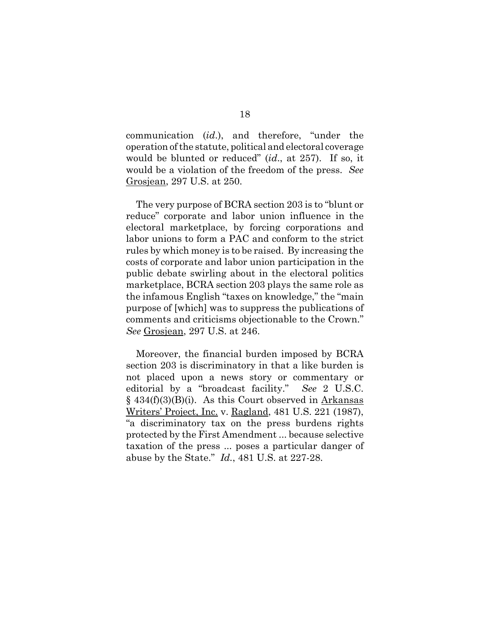communication (*id*.), and therefore, "under the operation of the statute, political and electoral coverage would be blunted or reduced" (*id*., at 257). If so, it would be a violation of the freedom of the press. *See* Grosjean, 297 U.S. at 250.

The very purpose of BCRA section 203 is to "blunt or reduce" corporate and labor union influence in the electoral marketplace, by forcing corporations and labor unions to form a PAC and conform to the strict rules by which money is to be raised. By increasing the costs of corporate and labor union participation in the public debate swirling about in the electoral politics marketplace, BCRA section 203 plays the same role as the infamous English "taxes on knowledge," the "main purpose of [which] was to suppress the publications of comments and criticisms objectionable to the Crown." *See* Grosjean, 297 U.S. at 246.

Moreover, the financial burden imposed by BCRA section 203 is discriminatory in that a like burden is not placed upon a news story or commentary or editorial by a "broadcast facility." *See* 2 U.S.C. § 434(f)(3)(B)(i). As this Court observed in Arkansas Writers' Project, Inc. v. Ragland, 481 U.S. 221 (1987), "a discriminatory tax on the press burdens rights protected by the First Amendment ... because selective taxation of the press ... poses a particular danger of abuse by the State." *Id.*, 481 U.S. at 227-28.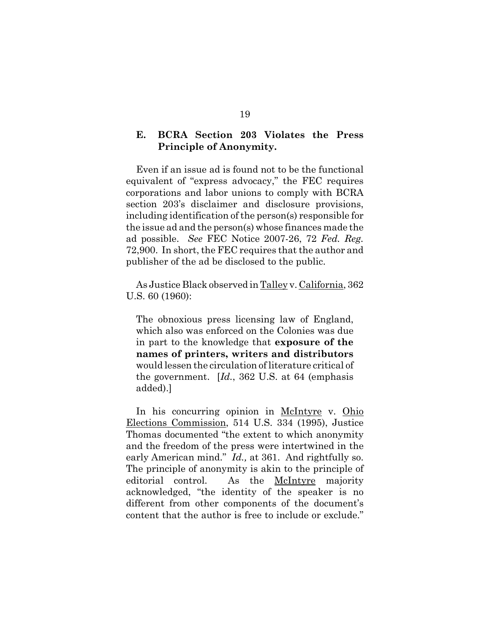### **E. BCRA Section 203 Violates the Press Principle of Anonymity.**

Even if an issue ad is found not to be the functional equivalent of "express advocacy," the FEC requires corporations and labor unions to comply with BCRA section 203's disclaimer and disclosure provisions, including identification of the person(s) responsible for the issue ad and the person(s) whose finances made the ad possible. *See* FEC Notice 2007-26, 72 *Fed. Reg.* 72,900. In short, the FEC requires that the author and publisher of the ad be disclosed to the public.

As Justice Black observed in Talley v. California, 362 U.S. 60 (1960):

The obnoxious press licensing law of England, which also was enforced on the Colonies was due in part to the knowledge that **exposure of the names of printers, writers and distributors** would lessen the circulation of literature critical of the government. [*Id.*, 362 U.S. at 64 (emphasis added).]

In his concurring opinion in <u>McIntyre</u> v. Ohio Elections Commission, 514 U.S. 334 (1995), Justice Thomas documented "the extent to which anonymity and the freedom of the press were intertwined in the early American mind." *Id.,* at 361. And rightfully so. The principle of anonymity is akin to the principle of editorial control. As the McIntyre majority acknowledged, "the identity of the speaker is no different from other components of the document's content that the author is free to include or exclude."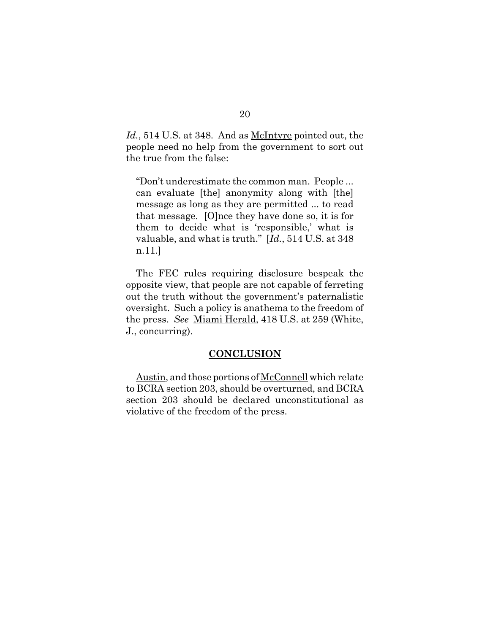Id., 514 U.S. at 348. And as <u>McIntyre</u> pointed out, the people need no help from the government to sort out the true from the false:

"Don't underestimate the common man. People ... can evaluate [the] anonymity along with [the] message as long as they are permitted ... to read that message. [O]nce they have done so, it is for them to decide what is 'responsible,' what is valuable, and what is truth." [*Id.*, 514 U.S. at 348 n.11.]

The FEC rules requiring disclosure bespeak the opposite view, that people are not capable of ferreting out the truth without the government's paternalistic oversight. Such a policy is anathema to the freedom of the press. *See* Miami Herald, 418 U.S. at 259 (White, J., concurring).

#### **CONCLUSION**

Austin, and those portions of McConnell which relate to BCRA section 203, should be overturned, and BCRA section 203 should be declared unconstitutional as violative of the freedom of the press.